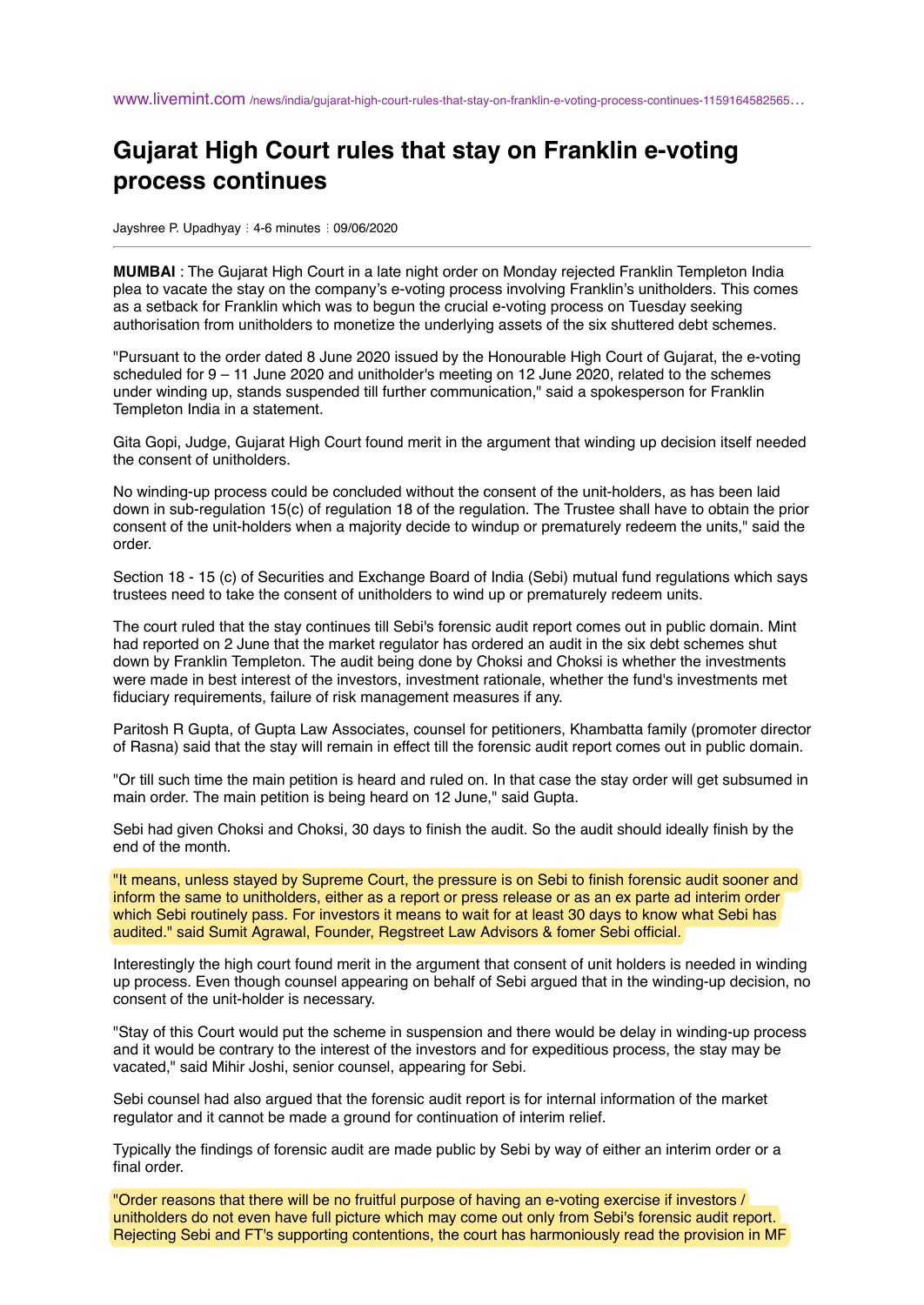## **Gujarat High Court rules that stay on Franklin e-voting process continues**

Jayshree P. Upadhyay : 4-6 minutes : 09/06/2020

**MUMBAI** : The Gujarat High Court in a late night order on Monday rejected Franklin Templeton India plea to vacate the stay on the company's e-voting process involving Franklin's unitholders. This comes as a setback for Franklin which was to begun the crucial e-voting process on Tuesday seeking authorisation from unitholders to monetize the underlying assets of the six shuttered debt schemes.

"Pursuant to the order dated 8 June 2020 issued by the Honourable High Court of Gujarat, the e-voting scheduled for 9 – 11 June 2020 and unitholder's meeting on 12 June 2020, related to the schemes under winding up, stands suspended till further communication," said a spokesperson for Franklin Templeton India in a statement.

Gita Gopi, Judge, Gujarat High Court found merit in the argument that winding up decision itself needed the consent of unitholders.

No winding-up process could be concluded without the consent of the unit-holders, as has been laid down in sub-regulation 15(c) of regulation 18 of the regulation. The Trustee shall have to obtain the prior consent of the unit-holders when a majority decide to windup or prematurely redeem the units," said the order.

Section 18 - 15 (c) of Securities and Exchange Board of India (Sebi) mutual fund regulations which says trustees need to take the consent of unitholders to wind up or prematurely redeem units.

The court ruled that the stay continues till Sebi's forensic audit report comes out in public domain. Mint had reported on 2 June that the market regulator has ordered an audit in the six debt schemes shut down by Franklin Templeton. The audit being done by Choksi and Choksi is whether the investments were made in best interest of the investors, investment rationale, whether the fund's investments met fiduciary requirements, failure of risk management measures if any.

Paritosh R Gupta, of Gupta Law Associates, counsel for petitioners, Khambatta family (promoter director of Rasna) said that the stay will remain in effect till the forensic audit report comes out in public domain.

"Or till such time the main petition is heard and ruled on. In that case the stay order will get subsumed in main order. The main petition is being heard on 12 June," said Gupta.

Sebi had given Choksi and Choksi, 30 days to finish the audit. So the audit should ideally finish by the end of the month.

"It means, unless stayed by Supreme Court, the pressure is on Sebi to finish forensic audit sooner and inform the same to unitholders, either as a report or press release or as an ex parte ad interim order which Sebi routinely pass. For investors it means to wait for at least 30 days to know what Sebi has audited." said Sumit Agrawal, Founder, Regstreet Law Advisors & fomer Sebi official.

Interestingly the high court found merit in the argument that consent of unit holders is needed in winding up process. Even though counsel appearing on behalf of Sebi argued that in the winding-up decision, no consent of the unit-holder is necessary.

"Stay of this Court would put the scheme in suspension and there would be delay in winding-up process and it would be contrary to the interest of the investors and for expeditious process, the stay may be vacated," said Mihir Joshi, senior counsel, appearing for Sebi.

Sebi counsel had also argued that the forensic audit report is for internal information of the market regulator and it cannot be made a ground for continuation of interim relief.

Typically the findings of forensic audit are made public by Sebi by way of either an interim order or a final order.

"Order reasons that there will be no fruitful purpose of having an e-voting exercise if investors / unitholders do not even have full picture which may come out only from Sebi's forensic audit report. Rejecting Sebi and FT's supporting contentions, the court has harmoniously read the provision in MF